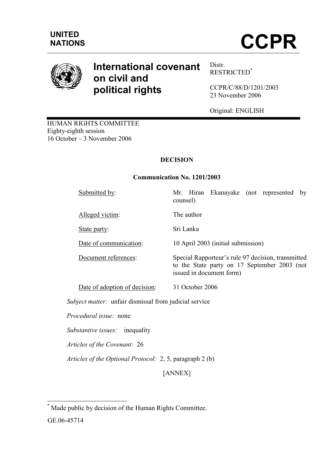

# International covenant on civil and political rights

Distr. RESTRICTED\*

CCPR/C/88/D/1201/2003 23 November 2006

Original: ENGLISH

HUMAN RIGHTS COMMITTEE Eighty-eighth session 16 October – 3 November 2006

# DECISION

#### Communication No. 1201/2003

Alleged victim: The author

Submitted by: Mr. Hiran Ekanayake (not represented by counsel)

State party: Sri Lanka

Date of communication: 10 April 2003 (initial submission)

Document references: Special Rapporteur's rule 97 decision, transmitted to the State party on 17 September 2003 (not issued in document form)

Date of adoption of decision: 31 October 2006

Subject matter: unfair dismissal from judicial service

Procedural issue: none

Substantive issues: inequality

Articles of the Covenant: 26

Articles of the Optional Protocol: 2, 5, paragraph 2 (b)

[ANNEX]

 $\overline{\phantom{a}}$ \* Made public by decision of the Human Rights Committee.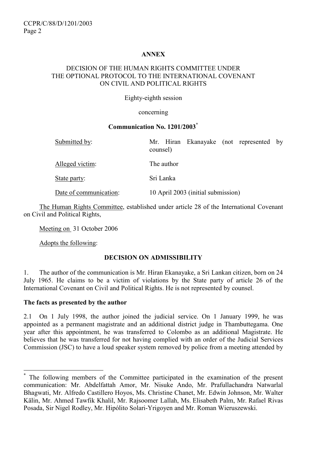## ANNEX

#### DECISION OF THE HUMAN RIGHTS COMMITTEE UNDER THE OPTIONAL PROTOCOL TO THE INTERNATIONAL COVENANT ON CIVIL AND POLITICAL RIGHTS

Eighty-eighth session

concerning

#### Communication No. 1201/2003\*

| Submitted by:          | Mr. Hiran Ekanayake (not represented by<br>counsel) |
|------------------------|-----------------------------------------------------|
| Alleged victim:        | The author                                          |
| State party:           | Sri Lanka                                           |
| Date of communication: | 10 April 2003 (initial submission)                  |

 The Human Rights Committee, established under article 28 of the International Covenant on Civil and Political Rights,

Meeting on 31 October 2006

Adopts the following:

## DECISION ON ADMISSIBILITY

1. The author of the communication is Mr. Hiran Ekanayake, a Sri Lankan citizen, born on 24 July 1965. He claims to be a victim of violations by the State party of article 26 of the International Covenant on Civil and Political Rights. He is not represented by counsel.

## The facts as presented by the author

 $\overline{a}$ 

2.1 On 1 July 1998, the author joined the judicial service. On 1 January 1999, he was appointed as a permanent magistrate and an additional district judge in Thambuttegama. One year after this appointment, he was transferred to Colombo as an additional Magistrate. He believes that he was transferred for not having complied with an order of the Judicial Services Commission (JSC) to have a loud speaker system removed by police from a meeting attended by

<sup>\*</sup> The following members of the Committee participated in the examination of the present communication: Mr. Abdelfattah Amor, Mr. Nisuke Ando, Mr. Prafullachandra Natwarlal Bhagwati, Mr. Alfredo Castillero Hoyos, Ms. Christine Chanet, Mr. Edwin Johnson, Mr. Walter Kälin, Mr. Ahmed Tawfik Khalil, Mr. Rajsoomer Lallah, Ms. Elisabeth Palm, Mr. Rafael Rivas Posada, Sir Nigel Rodley, Mr. Hipólito Solari-Yrigoyen and Mr. Roman Wieruszewski.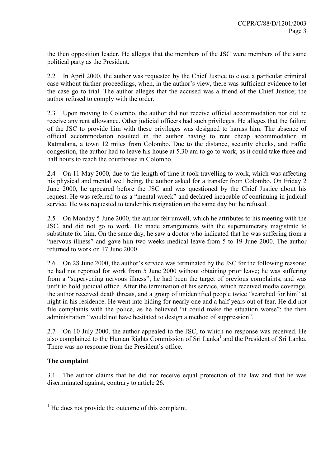the then opposition leader. He alleges that the members of the JSC were members of the same political party as the President.

2.2 In April 2000, the author was requested by the Chief Justice to close a particular criminal case without further proceedings, when, in the author's view, there was sufficient evidence to let the case go to trial. The author alleges that the accused was a friend of the Chief Justice; the author refused to comply with the order.

2.3 Upon moving to Colombo, the author did not receive official accommodation nor did he receive any rent allowance. Other judicial officers had such privileges. He alleges that the failure of the JSC to provide him with these privileges was designed to harass him. The absence of official accommodation resulted in the author having to rent cheap accommodation in Ratmalana, a town 12 miles from Colombo. Due to the distance, security checks, and traffic congestion, the author had to leave his house at 5.30 am to go to work, as it could take three and half hours to reach the courthouse in Colombo.

2.4 On 11 May 2000, due to the length of time it took travelling to work, which was affecting his physical and mental well being, the author asked for a transfer from Colombo. On Friday 2 June 2000, he appeared before the JSC and was questioned by the Chief Justice about his request. He was referred to as a "mental wreck" and declared incapable of continuing in judicial service. He was requested to tender his resignation on the same day but he refused.

2.5 On Monday 5 June 2000, the author felt unwell, which he attributes to his meeting with the JSC, and did not go to work. He made arrangements with the supernumerary magistrate to substitute for him. On the same day, he saw a doctor who indicated that he was suffering from a "nervous illness" and gave him two weeks medical leave from 5 to 19 June 2000. The author returned to work on 17 June 2000.

2.6 On 28 June 2000, the author's service was terminated by the JSC for the following reasons: he had not reported for work from 5 June 2000 without obtaining prior leave; he was suffering from a "supervening nervous illness"; he had been the target of previous complaints; and was unfit to hold judicial office. After the termination of his service, which received media coverage, the author received death threats, and a group of unidentified people twice "searched for him" at night in his residence. He went into hiding for nearly one and a half years out of fear. He did not file complaints with the police, as he believed "it could make the situation worse": the then administration "would not have hesitated to design a method of suppression".

2.7 On 10 July 2000, the author appealed to the JSC, to which no response was received. He also complained to the Human Rights Commission of Sri Lanka<sup>1</sup> and the President of Sri Lanka. There was no response from the President's office.

## The complaint

3.1 The author claims that he did not receive equal protection of the law and that he was discriminated against, contrary to article 26.

<sup>&</sup>lt;sup>1</sup> He does not provide the outcome of this complaint.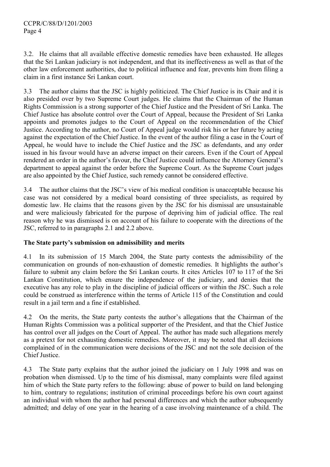3.2. He claims that all available effective domestic remedies have been exhausted. He alleges that the Sri Lankan judiciary is not independent, and that its ineffectiveness as well as that of the other law enforcement authorities, due to political influence and fear, prevents him from filing a claim in a first instance Sri Lankan court.

3.3 The author claims that the JSC is highly politicized. The Chief Justice is its Chair and it is also presided over by two Supreme Court judges. He claims that the Chairman of the Human Rights Commission is a strong supporter of the Chief Justice and the President of Sri Lanka. The Chief Justice has absolute control over the Court of Appeal, because the President of Sri Lanka appoints and promotes judges to the Court of Appeal on the recommendation of the Chief Justice. According to the author, no Court of Appeal judge would risk his or her future by acting against the expectation of the Chief Justice. In the event of the author filing a case in the Court of Appeal, he would have to include the Chief Justice and the JSC as defendants, and any order issued in his favour would have an adverse impact on their careers. Even if the Court of Appeal rendered an order in the author's favour, the Chief Justice could influence the Attorney General's department to appeal against the order before the Supreme Court. As the Supreme Court judges are also appointed by the Chief Justice, such remedy cannot be considered effective.

3.4 The author claims that the JSC's view of his medical condition is unacceptable because his case was not considered by a medical board consisting of three specialists, as required by domestic law. He claims that the reasons given by the JSC for his dismissal are unsustainable and were maliciously fabricated for the purpose of depriving him of judicial office. The real reason why he was dismissed is on account of his failure to cooperate with the directions of the JSC, referred to in paragraphs 2.1 and 2.2 above.

## The State party's submission on admissibility and merits

4.1 In its submission of 15 March 2004, the State party contests the admissibility of the communication on grounds of non-exhaustion of domestic remedies. It highlights the author's failure to submit any claim before the Sri Lankan courts. It cites Articles 107 to 117 of the Sri Lankan Constitution, which ensure the independence of the judiciary, and denies that the executive has any role to play in the discipline of judicial officers or within the JSC. Such a role could be construed as interference within the terms of Article 115 of the Constitution and could result in a jail term and a fine if established.

4.2 On the merits, the State party contests the author's allegations that the Chairman of the Human Rights Commission was a political supporter of the President, and that the Chief Justice has control over all judges on the Court of Appeal. The author has made such allegations merely as a pretext for not exhausting domestic remedies. Moreover, it may be noted that all decisions complained of in the communication were decisions of the JSC and not the sole decision of the Chief Justice.

4.3 The State party explains that the author joined the judiciary on 1 July 1998 and was on probation when dismissed. Up to the time of his dismissal, many complaints were filed against him of which the State party refers to the following: abuse of power to build on land belonging to him, contrary to regulations; institution of criminal proceedings before his own court against an individual with whom the author had personal differences and which the author subsequently admitted; and delay of one year in the hearing of a case involving maintenance of a child. The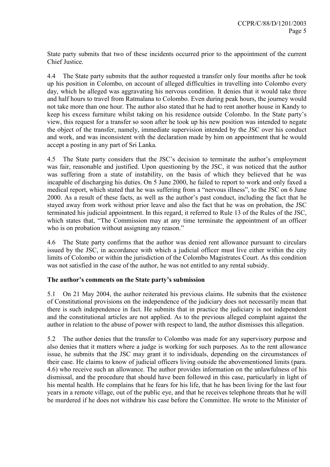State party submits that two of these incidents occurred prior to the appointment of the current Chief Justice.

4.4 The State party submits that the author requested a transfer only four months after he took up his position in Colombo, on account of alleged difficulties in travelling into Colombo every day, which he alleged was aggravating his nervous condition. It denies that it would take three and half hours to travel from Ratmalana to Colombo. Even during peak hours, the journey would not take more than one hour. The author also stated that he had to rent another house in Kandy to keep his excess furniture whilst taking on his residence outside Colombo. In the State party's view, this request for a transfer so soon after he took up his new position was intended to negate the object of the transfer, namely, immediate supervision intended by the JSC over his conduct and work, and was inconsistent with the declaration made by him on appointment that he would accept a posting in any part of Sri Lanka.

4.5 The State party considers that the JSC's decision to terminate the author's employment was fair, reasonable and justified. Upon questioning by the JSC, it was noticed that the author was suffering from a state of instability, on the basis of which they believed that he was incapable of discharging his duties. On 5 June 2000, he failed to report to work and only faxed a medical report, which stated that he was suffering from a "nervous illness", to the JSC on 6 June 2000. As a result of these facts, as well as the author's past conduct, including the fact that he stayed away from work without prior leave and also the fact that he was on probation, the JSC terminated his judicial appointment. In this regard, it referred to Rule 13 of the Rules of the JSC, which states that, "The Commission may at any time terminate the appointment of an officer who is on probation without assigning any reason."

4.6 The State party confirms that the author was denied rent allowance pursuant to circulars issued by the JSC, in accordance with which a judicial officer must live either within the city limits of Colombo or within the jurisdiction of the Colombo Magistrates Court. As this condition was not satisfied in the case of the author, he was not entitled to any rental subsidy.

## The author's comments on the State party's submission

5.1 On 21 May 2004, the author reiterated his previous claims. He submits that the existence of Constitutional provisions on the independence of the judiciary does not necessarily mean that there is such independence in fact. He submits that in practice the judiciary is not independent and the constitutional articles are not applied. As to the previous alleged complaint against the author in relation to the abuse of power with respect to land, the author dismisses this allegation.

5.2 The author denies that the transfer to Colombo was made for any supervisory purpose and also denies that it matters where a judge is working for such purposes. As to the rent allowance issue, he submits that the JSC may grant it to individuals, depending on the circumstances of their case. He claims to know of judicial officers living outside the abovementioned limits (para. 4.6) who receive such an allowance. The author provides information on the unlawfulness of his dismissal, and the procedure that should have been followed in this case, particularly in light of his mental health. He complains that he fears for his life, that he has been living for the last four years in a remote village, out of the public eye, and that he receives telephone threats that he will be murdered if he does not withdraw his case before the Committee. He wrote to the Minister of